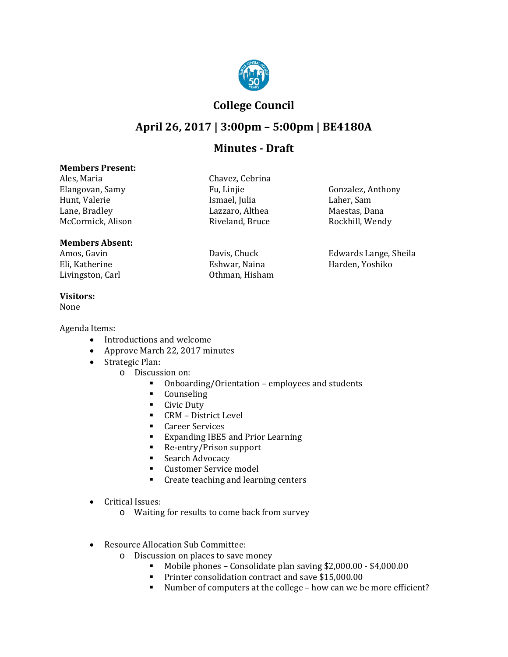

## **College Council**

# **April 26, 2017 | 3:00pm – 5:00pm | BE4180A**

## **Minutes - Draft**

#### **Members Present:**

Ales, Maria (Chavez, Chavez, Chavez, Chavez, Chavez, Chavez, Chavez, Chavez, Chavez, Chavez, Chavez, Chavez, C Hunt, Valerie Ismael, Julia Laher, Sam Lane, Bradley Lazzaro, Althea Maestas, Dana McCormick, Alison

### **Members Absent:**

Eli, Katherine Eshwar, Naina Harden, Yoshiko<br>Livingston, Carl Chiman, Hisham Harden, Yoshiko

#### **Visitors:**

None

Agenda Items:

- Introductions and welcome
- Approve March 22, 2017 minutes
- Strategic Plan:
	- o Discussion on:
		- Onboarding/Orientation employees and students<br>• Counseling
		- Counseling<br>• Civic Duty
		- Civic Duty
		- CRM District Level<br>• Career Services
		- **Career Services**<br>**Expanding IBE5**
		- Expanding IBE5 and Prior Learning<br>■ Re-entry/Prison support
		- Re-entry/Prison support
		- **Search Advocacy**
		- **Customer Service model**
		- **Create teaching and learning centers**
- Critical Issues:
	- o Waiting for results to come back from survey
- Resource Allocation Sub Committee:
	- o Discussion on places to save money<br>Mobile phones Consolidate
		- Mobile phones Consolidate plan saving \$2,000.00 \$4,000.00
		- **Printer consolidation contract and save \$15,000.00**
		- Number of computers at the college how can we be more efficient?

| avez, Cebrina |  |
|---------------|--|
| Linjie        |  |
| 1ael, Julia   |  |
| zzaro, Althea |  |
| eland, Bruce  |  |
|               |  |

Othman, Hisham

Fu, Linjie Gonzalez, Anthony<br>Ismael. Iulia Laher. Sam

Amos, Gavin Davis, Chuck Edwards Lange, Sheila